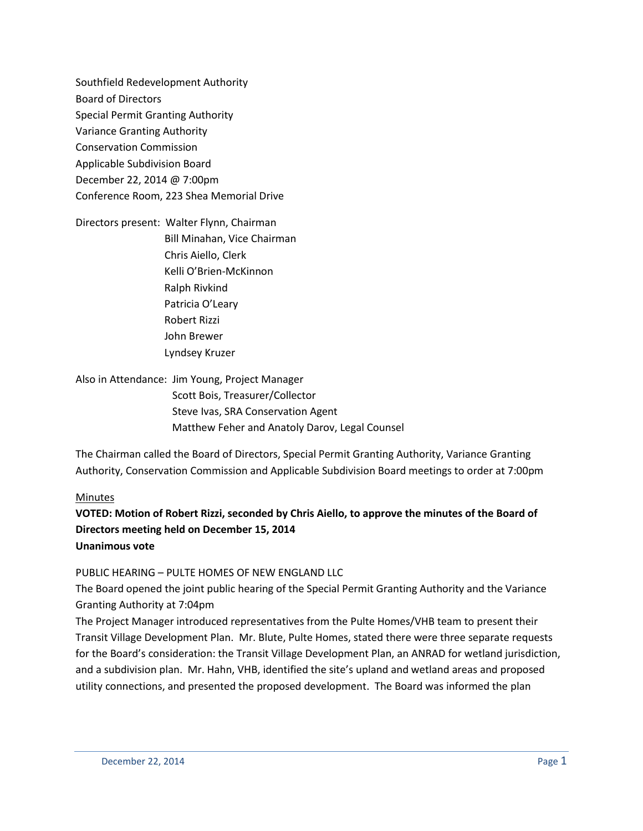Southfield Redevelopment Authority Board of Directors Special Permit Granting Authority Variance Granting Authority Conservation Commission Applicable Subdivision Board December 22, 2014 @ 7:00pm Conference Room, 223 Shea Memorial Drive

Directors present: Walter Flynn, Chairman Bill Minahan, Vice Chairman Chris Aiello, Clerk Kelli O'Brien-McKinnon Ralph Rivkind Patricia O'Leary Robert Rizzi John Brewer Lyndsey Kruzer

Also in Attendance: Jim Young, Project Manager Scott Bois, Treasurer/Collector Steve Ivas, SRA Conservation Agent Matthew Feher and Anatoly Darov, Legal Counsel

The Chairman called the Board of Directors, Special Permit Granting Authority, Variance Granting Authority, Conservation Commission and Applicable Subdivision Board meetings to order at 7:00pm

#### Minutes

# **VOTED: Motion of Robert Rizzi, seconded by Chris Aiello, to approve the minutes of the Board of Directors meeting held on December 15, 2014 Unanimous vote**

#### PUBLIC HEARING – PULTE HOMES OF NEW ENGLAND LLC

The Board opened the joint public hearing of the Special Permit Granting Authority and the Variance Granting Authority at 7:04pm

The Project Manager introduced representatives from the Pulte Homes/VHB team to present their Transit Village Development Plan. Mr. Blute, Pulte Homes, stated there were three separate requests for the Board's consideration: the Transit Village Development Plan, an ANRAD for wetland jurisdiction, and a subdivision plan. Mr. Hahn, VHB, identified the site's upland and wetland areas and proposed utility connections, and presented the proposed development. The Board was informed the plan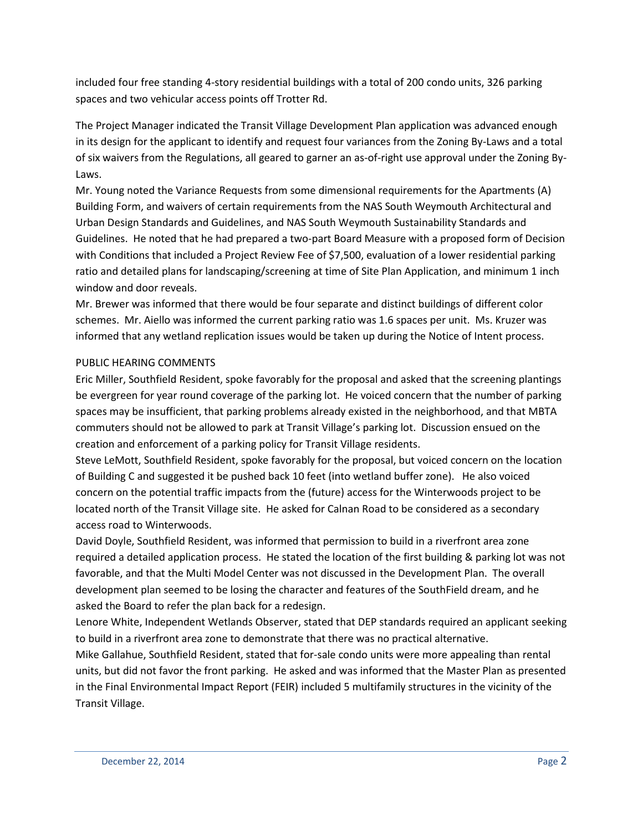included four free standing 4-story residential buildings with a total of 200 condo units, 326 parking spaces and two vehicular access points off Trotter Rd.

The Project Manager indicated the Transit Village Development Plan application was advanced enough in its design for the applicant to identify and request four variances from the Zoning By-Laws and a total of six waivers from the Regulations, all geared to garner an as-of-right use approval under the Zoning By-Laws.

Mr. Young noted the Variance Requests from some dimensional requirements for the Apartments (A) Building Form, and waivers of certain requirements from the NAS South Weymouth Architectural and Urban Design Standards and Guidelines, and NAS South Weymouth Sustainability Standards and Guidelines. He noted that he had prepared a two-part Board Measure with a proposed form of Decision with Conditions that included a Project Review Fee of \$7,500, evaluation of a lower residential parking ratio and detailed plans for landscaping/screening at time of Site Plan Application, and minimum 1 inch window and door reveals.

Mr. Brewer was informed that there would be four separate and distinct buildings of different color schemes. Mr. Aiello was informed the current parking ratio was 1.6 spaces per unit. Ms. Kruzer was informed that any wetland replication issues would be taken up during the Notice of Intent process.

## PUBLIC HEARING COMMENTS

Eric Miller, Southfield Resident, spoke favorably for the proposal and asked that the screening plantings be evergreen for year round coverage of the parking lot. He voiced concern that the number of parking spaces may be insufficient, that parking problems already existed in the neighborhood, and that MBTA commuters should not be allowed to park at Transit Village's parking lot. Discussion ensued on the creation and enforcement of a parking policy for Transit Village residents.

Steve LeMott, Southfield Resident, spoke favorably for the proposal, but voiced concern on the location of Building C and suggested it be pushed back 10 feet (into wetland buffer zone). He also voiced concern on the potential traffic impacts from the (future) access for the Winterwoods project to be located north of the Transit Village site. He asked for Calnan Road to be considered as a secondary access road to Winterwoods.

David Doyle, Southfield Resident, was informed that permission to build in a riverfront area zone required a detailed application process. He stated the location of the first building & parking lot was not favorable, and that the Multi Model Center was not discussed in the Development Plan. The overall development plan seemed to be losing the character and features of the SouthField dream, and he asked the Board to refer the plan back for a redesign.

Lenore White, Independent Wetlands Observer, stated that DEP standards required an applicant seeking to build in a riverfront area zone to demonstrate that there was no practical alternative.

Mike Gallahue, Southfield Resident, stated that for-sale condo units were more appealing than rental units, but did not favor the front parking. He asked and was informed that the Master Plan as presented in the Final Environmental Impact Report (FEIR) included 5 multifamily structures in the vicinity of the Transit Village.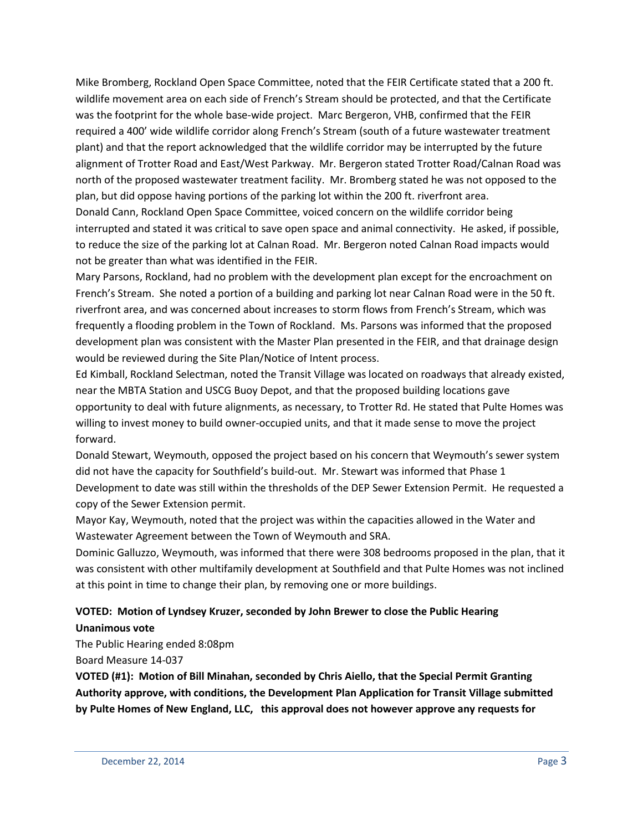Mike Bromberg, Rockland Open Space Committee, noted that the FEIR Certificate stated that a 200 ft. wildlife movement area on each side of French's Stream should be protected, and that the Certificate was the footprint for the whole base-wide project. Marc Bergeron, VHB, confirmed that the FEIR required a 400' wide wildlife corridor along French's Stream (south of a future wastewater treatment plant) and that the report acknowledged that the wildlife corridor may be interrupted by the future alignment of Trotter Road and East/West Parkway. Mr. Bergeron stated Trotter Road/Calnan Road was north of the proposed wastewater treatment facility. Mr. Bromberg stated he was not opposed to the plan, but did oppose having portions of the parking lot within the 200 ft. riverfront area. Donald Cann, Rockland Open Space Committee, voiced concern on the wildlife corridor being interrupted and stated it was critical to save open space and animal connectivity. He asked, if possible, to reduce the size of the parking lot at Calnan Road. Mr. Bergeron noted Calnan Road impacts would not be greater than what was identified in the FEIR.

Mary Parsons, Rockland, had no problem with the development plan except for the encroachment on French's Stream. She noted a portion of a building and parking lot near Calnan Road were in the 50 ft. riverfront area, and was concerned about increases to storm flows from French's Stream, which was frequently a flooding problem in the Town of Rockland. Ms. Parsons was informed that the proposed development plan was consistent with the Master Plan presented in the FEIR, and that drainage design would be reviewed during the Site Plan/Notice of Intent process.

Ed Kimball, Rockland Selectman, noted the Transit Village was located on roadways that already existed, near the MBTA Station and USCG Buoy Depot, and that the proposed building locations gave opportunity to deal with future alignments, as necessary, to Trotter Rd. He stated that Pulte Homes was willing to invest money to build owner-occupied units, and that it made sense to move the project forward.

Donald Stewart, Weymouth, opposed the project based on his concern that Weymouth's sewer system did not have the capacity for Southfield's build-out. Mr. Stewart was informed that Phase 1 Development to date was still within the thresholds of the DEP Sewer Extension Permit. He requested a copy of the Sewer Extension permit.

Mayor Kay, Weymouth, noted that the project was within the capacities allowed in the Water and Wastewater Agreement between the Town of Weymouth and SRA.

Dominic Galluzzo, Weymouth, was informed that there were 308 bedrooms proposed in the plan, that it was consistent with other multifamily development at Southfield and that Pulte Homes was not inclined at this point in time to change their plan, by removing one or more buildings.

# **VOTED: Motion of Lyndsey Kruzer, seconded by John Brewer to close the Public Hearing Unanimous vote**

The Public Hearing ended 8:08pm

Board Measure 14-037

**VOTED (#1): Motion of Bill Minahan, seconded by Chris Aiello, that the Special Permit Granting Authority approve, with conditions, the Development Plan Application for Transit Village submitted by Pulte Homes of New England, LLC, this approval does not however approve any requests for**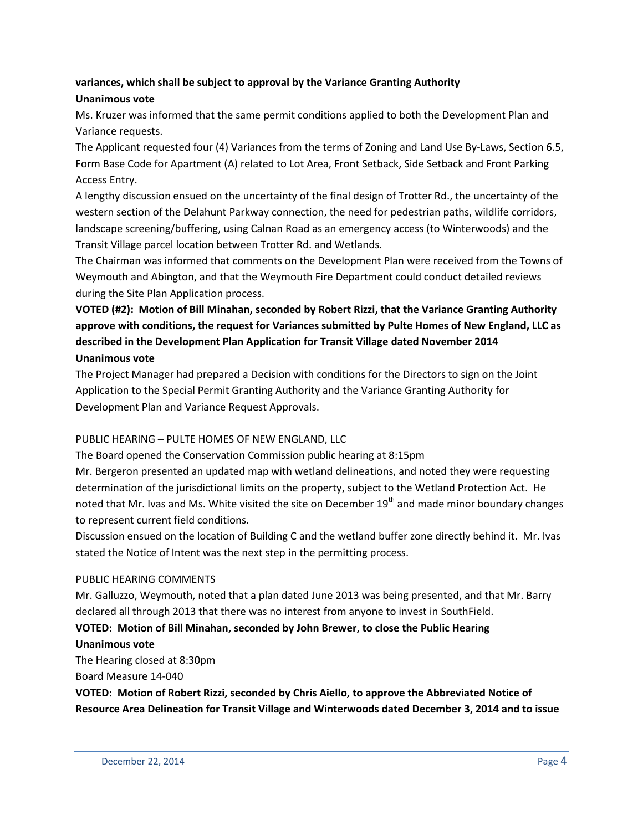# **variances, which shall be subject to approval by the Variance Granting Authority Unanimous vote**

Ms. Kruzer was informed that the same permit conditions applied to both the Development Plan and Variance requests.

The Applicant requested four (4) Variances from the terms of Zoning and Land Use By-Laws, Section 6.5, Form Base Code for Apartment (A) related to Lot Area, Front Setback, Side Setback and Front Parking Access Entry.

A lengthy discussion ensued on the uncertainty of the final design of Trotter Rd., the uncertainty of the western section of the Delahunt Parkway connection, the need for pedestrian paths, wildlife corridors, landscape screening/buffering, using Calnan Road as an emergency access (to Winterwoods) and the Transit Village parcel location between Trotter Rd. and Wetlands.

The Chairman was informed that comments on the Development Plan were received from the Towns of Weymouth and Abington, and that the Weymouth Fire Department could conduct detailed reviews during the Site Plan Application process.

# **VOTED (#2): Motion of Bill Minahan, seconded by Robert Rizzi, that the Variance Granting Authority approve with conditions, the request for Variances submitted by Pulte Homes of New England, LLC as described in the Development Plan Application for Transit Village dated November 2014 Unanimous vote**

The Project Manager had prepared a Decision with conditions for the Directors to sign on the Joint Application to the Special Permit Granting Authority and the Variance Granting Authority for Development Plan and Variance Request Approvals.

## PUBLIC HEARING – PULTE HOMES OF NEW ENGLAND, LLC

The Board opened the Conservation Commission public hearing at 8:15pm

Mr. Bergeron presented an updated map with wetland delineations, and noted they were requesting determination of the jurisdictional limits on the property, subject to the Wetland Protection Act. He noted that Mr. Ivas and Ms. White visited the site on December  $19<sup>th</sup>$  and made minor boundary changes to represent current field conditions.

Discussion ensued on the location of Building C and the wetland buffer zone directly behind it. Mr. Ivas stated the Notice of Intent was the next step in the permitting process.

## PUBLIC HEARING COMMENTS

Mr. Galluzzo, Weymouth, noted that a plan dated June 2013 was being presented, and that Mr. Barry declared all through 2013 that there was no interest from anyone to invest in SouthField.

# **VOTED: Motion of Bill Minahan, seconded by John Brewer, to close the Public Hearing**

## **Unanimous vote**

The Hearing closed at 8:30pm Board Measure 14-040

**VOTED: Motion of Robert Rizzi, seconded by Chris Aiello, to approve the Abbreviated Notice of Resource Area Delineation for Transit Village and Winterwoods dated December 3, 2014 and to issue**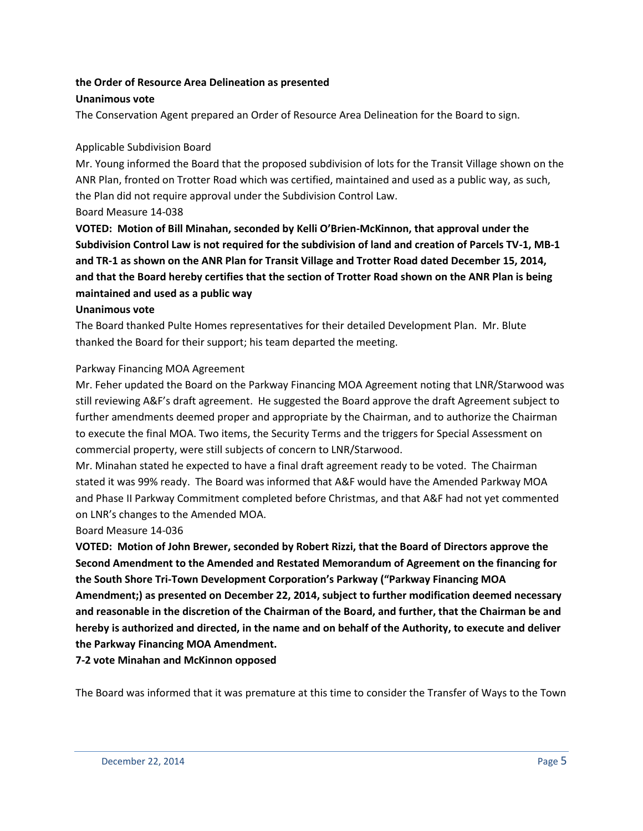### **the Order of Resource Area Delineation as presented Unanimous vote**

The Conservation Agent prepared an Order of Resource Area Delineation for the Board to sign.

### Applicable Subdivision Board

Mr. Young informed the Board that the proposed subdivision of lots for the Transit Village shown on the ANR Plan, fronted on Trotter Road which was certified, maintained and used as a public way, as such, the Plan did not require approval under the Subdivision Control Law. Board Measure 14-038

**VOTED: Motion of Bill Minahan, seconded by Kelli O'Brien-McKinnon, that approval under the Subdivision Control Law is not required for the subdivision of land and creation of Parcels TV-1, MB-1 and TR-1 as shown on the ANR Plan for Transit Village and Trotter Road dated December 15, 2014, and that the Board hereby certifies that the section of Trotter Road shown on the ANR Plan is being maintained and used as a public way**

#### **Unanimous vote**

The Board thanked Pulte Homes representatives for their detailed Development Plan. Mr. Blute thanked the Board for their support; his team departed the meeting.

#### Parkway Financing MOA Agreement

Mr. Feher updated the Board on the Parkway Financing MOA Agreement noting that LNR/Starwood was still reviewing A&F's draft agreement. He suggested the Board approve the draft Agreement subject to further amendments deemed proper and appropriate by the Chairman, and to authorize the Chairman to execute the final MOA. Two items, the Security Terms and the triggers for Special Assessment on commercial property, were still subjects of concern to LNR/Starwood.

Mr. Minahan stated he expected to have a final draft agreement ready to be voted. The Chairman stated it was 99% ready. The Board was informed that A&F would have the Amended Parkway MOA and Phase II Parkway Commitment completed before Christmas, and that A&F had not yet commented on LNR's changes to the Amended MOA.

#### Board Measure 14-036

**VOTED: Motion of John Brewer, seconded by Robert Rizzi, that the Board of Directors approve the Second Amendment to the Amended and Restated Memorandum of Agreement on the financing for the South Shore Tri-Town Development Corporation's Parkway ("Parkway Financing MOA Amendment;) as presented on December 22, 2014, subject to further modification deemed necessary and reasonable in the discretion of the Chairman of the Board, and further, that the Chairman be and hereby is authorized and directed, in the name and on behalf of the Authority, to execute and deliver the Parkway Financing MOA Amendment.**

**7-2 vote Minahan and McKinnon opposed**

The Board was informed that it was premature at this time to consider the Transfer of Ways to the Town